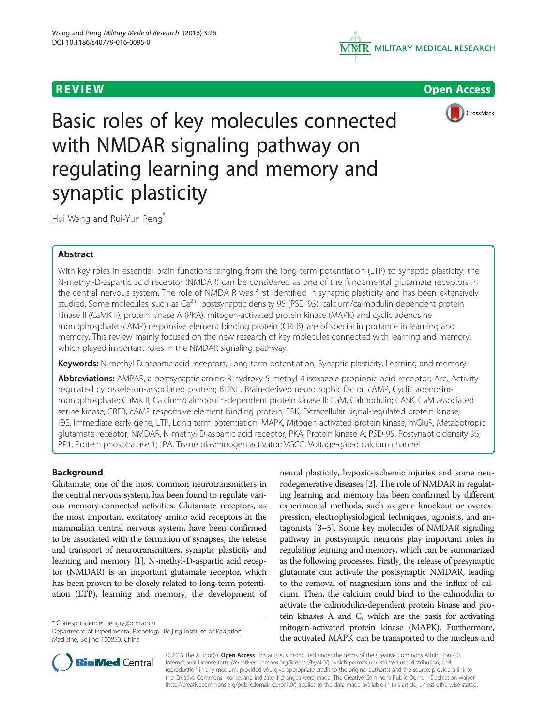



**REVIEW CONTROL** CONTROL CONTROL CONTROL CONTROL CONTROL CONTROL CONTROL CONTROL CONTROL CONTROL CONTROL CONTROL



Basic roles of key molecules connected with NMDAR signaling pathway on regulating learning and memory and synaptic plasticity

Hui Wang and Rui-Yun Peng<sup>\*</sup>

# Abstract

With key roles in essential brain functions ranging from the long-term potentiation (LTP) to synaptic plasticity, the N-methyl-D-aspartic acid receptor (NMDAR) can be considered as one of the fundamental glutamate receptors in the central nervous system. The role of NMDA R was first identified in synaptic plasticity and has been extensively studied. Some molecules, such as  $Ca^{2+}$ , postsynaptic density 95 (PSD-95), calcium/calmodulin-dependent protein kinase II (CaMK II), protein kinase A (PKA), mitogen-activated protein kinase (MAPK) and cyclic adenosine monophosphate (cAMP) responsive element binding protein (CREB), are of special importance in learning and memory. This review mainly focused on the new research of key molecules connected with learning and memory, which played important roles in the NMDAR signaling pathway.

Keywords: N-methyl-D-aspartic acid receptors, Long-term potentiation, Synaptic plasticity, Learning and memory

Abbreviations: AMPAR, a-postsynaptic amino-3-hydroxy-5-methyl-4-isoxazole propionic acid receptor; Arc, Activityregulated cytoskeleton-associated protein; BDNF, Brain-derived neurotrophic factor; cAMP, Cyclic adenosine monophosphate; CaMK II, Calcium/calmodulin-dependent protein kinase II; CaM, Calmodulin; CASK, CaM associated serine kinase; CREB, cAMP responsive element binding protein; ERK, Extracellular signal-regulated protein kinase; IEG, Immediate early gene; LTP, Long-term potentiation; MAPK, Mitogen-activated protein kinase; mGluR, Metabotropic glutamate receptor; NMDAR, N-methyl-D-aspartic acid receptor; PKA, Protein kinase A; PSD-95, Postynaptic density 95; PP1, Protein phosphatase 1; tPA, Tissue plasminogen activator; VGCC, Voltage-gated calcium channel

# Background

Glutamate, one of the most common neurotransmitters in the central nervous system, has been found to regulate various memory-connected activities. Glutamate receptors, as the most important excitatory amino acid receptors in the mammalian central nervous system, have been confirmed to be associated with the formation of synapses, the release and transport of neurotransmitters, synaptic plasticity and learning and memory [[1](#page-4-0)]. N-methyl-D-aspartic acid receptor (NMDAR) is an important glutamate receptor, which has been proven to be closely related to long-term potentiation (LTP), learning and memory, the development of

\* Correspondence: [pengry@bmi.ac.cn](mailto:pengry@bmi.ac.cn)

Department of Experimental Pathology, Beijing Institute of Radiation Medicine, Beijing 100850, China

neural plasticity, hypoxic-ischemic injuries and some neurodegenerative diseases [\[2](#page-4-0)]. The role of NMDAR in regulating learning and memory has been confirmed by different experimental methods, such as gene knockout or overexpression, electrophysiological techniques, agonists, and antagonists [[3](#page-4-0)–[5\]](#page-4-0). Some key molecules of NMDAR signaling pathway in postsynaptic neurons play important roles in regulating learning and memory, which can be summarized as the following processes. Firstly, the release of presynaptic glutamate can activate the postsynaptic NMDAR, leading to the removal of magnesium ions and the influx of calcium. Then, the calcium could bind to the calmodulin to activate the calmodulin-dependent protein kinase and protein kinases A and C, which are the basis for activating mitogen-activated protein kinase (MAPK). Furthermore, the activated MAPK can be transported to the nucleus and



© 2016 The Author(s). Open Access This article is distributed under the terms of the Creative Commons Attribution 4.0 International License [\(http://creativecommons.org/licenses/by/4.0/](http://creativecommons.org/licenses/by/4.0/)), which permits unrestricted use, distribution, and reproduction in any medium, provided you give appropriate credit to the original author(s) and the source, provide a link to the Creative Commons license, and indicate if changes were made. The Creative Commons Public Domain Dedication waiver [\(http://creativecommons.org/publicdomain/zero/1.0/](http://creativecommons.org/publicdomain/zero/1.0/)) applies to the data made available in this article, unless otherwise stated.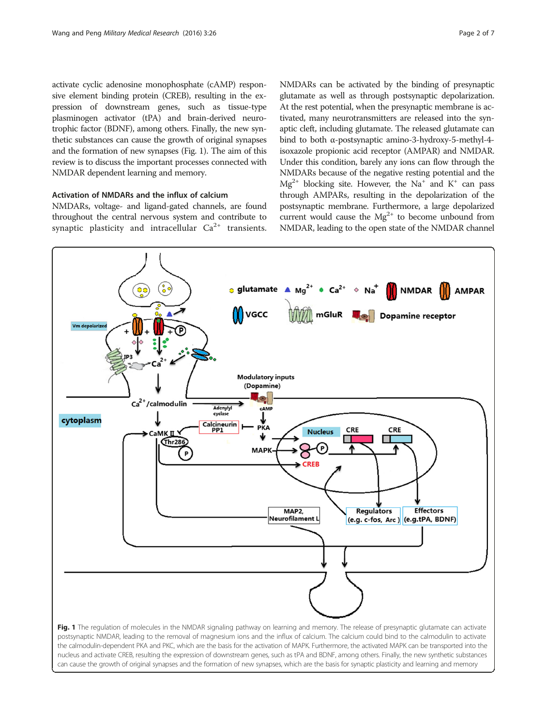activate cyclic adenosine monophosphate (cAMP) responsive element binding protein (CREB), resulting in the expression of downstream genes, such as tissue-type plasminogen activator (tPA) and brain-derived neurotrophic factor (BDNF), among others. Finally, the new synthetic substances can cause the growth of original synapses and the formation of new synapses (Fig. 1). The aim of this review is to discuss the important processes connected with NMDAR dependent learning and memory.

## Activation of NMDARs and the influx of calcium

NMDARs, voltage- and ligand-gated channels, are found throughout the central nervous system and contribute to synaptic plasticity and intracellular  $Ca^{2+}$  transients. NMDARs can be activated by the binding of presynaptic glutamate as well as through postsynaptic depolarization. At the rest potential, when the presynaptic membrane is activated, many neurotransmitters are released into the synaptic cleft, including glutamate. The released glutamate can bind to both α-postsynaptic amino-3-hydroxy-5-methyl-4 isoxazole propionic acid receptor (AMPAR) and NMDAR. Under this condition, barely any ions can flow through the NMDARs because of the negative resting potential and the  $Mg^{2+}$  blocking site. However, the Na<sup>+</sup> and K<sup>+</sup> can pass through AMPARs, resulting in the depolarization of the postsynaptic membrane. Furthermore, a large depolarized current would cause the  $Mg^{2+}$  to become unbound from NMDAR, leading to the open state of the NMDAR channel



can cause the growth of original synapses and the formation of new synapses, which are the basis for synaptic plasticity and learning and memory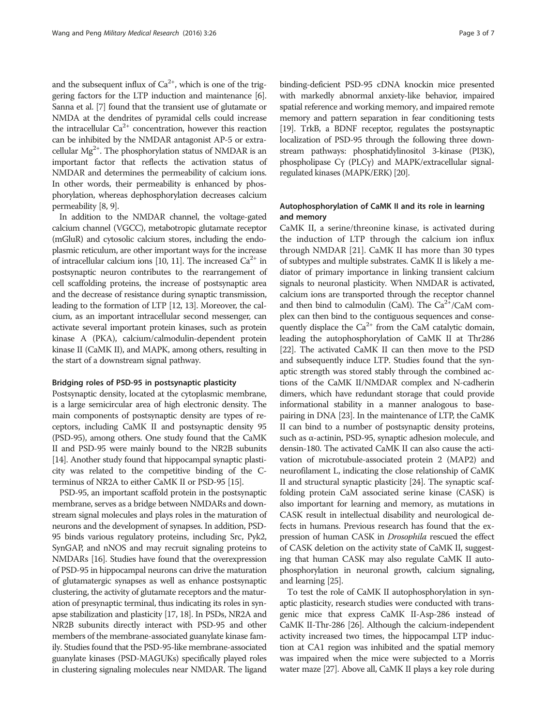and the subsequent influx of  $Ca^{2+}$ , which is one of the triggering factors for the LTP induction and maintenance [[6](#page-4-0)]. Sanna et al. [[7](#page-4-0)] found that the transient use of glutamate or NMDA at the dendrites of pyramidal cells could increase the intracellular  $Ca^{2+}$  concentration, however this reaction can be inhibited by the NMDAR antagonist AP-5 or extracellular  $Mg^{2+}$ . The phosphorylation status of NMDAR is an important factor that reflects the activation status of NMDAR and determines the permeability of calcium ions. In other words, their permeability is enhanced by phosphorylation, whereas dephosphorylation decreases calcium permeability [[8](#page-4-0), [9\]](#page-5-0).

In addition to the NMDAR channel, the voltage-gated calcium channel (VGCC), metabotropic glutamate receptor (mGluR) and cytosolic calcium stores, including the endoplasmic reticulum, are other important ways for the increase of intracellular calcium ions [\[10](#page-5-0), [11\]](#page-5-0). The increased  $Ca^{2+}$  in postsynaptic neuron contributes to the rearrangement of cell scaffolding proteins, the increase of postsynaptic area and the decrease of resistance during synaptic transmission, leading to the formation of LTP [\[12, 13\]](#page-5-0). Moreover, the calcium, as an important intracellular second messenger, can activate several important protein kinases, such as protein kinase A (PKA), calcium/calmodulin-dependent protein kinase II (CaMK II), and MAPK, among others, resulting in the start of a downstream signal pathway.

### Bridging roles of PSD-95 in postsynaptic plasticity

Postsynaptic density, located at the cytoplasmic membrane, is a large semicircular area of high electronic density. The main components of postsynaptic density are types of receptors, including CaMK II and postsynaptic density 95 (PSD-95), among others. One study found that the CaMK II and PSD-95 were mainly bound to the NR2B subunits [[14](#page-5-0)]. Another study found that hippocampal synaptic plasticity was related to the competitive binding of the Cterminus of NR2A to either CaMK II or PSD-95 [\[15](#page-5-0)].

PSD-95, an important scaffold protein in the postsynaptic membrane, serves as a bridge between NMDARs and downstream signal molecules and plays roles in the maturation of neurons and the development of synapses. In addition, PSD-95 binds various regulatory proteins, including Src, Pyk2, SynGAP, and nNOS and may recruit signaling proteins to NMDARs [\[16\]](#page-5-0). Studies have found that the overexpression of PSD-95 in hippocampal neurons can drive the maturation of glutamatergic synapses as well as enhance postsynaptic clustering, the activity of glutamate receptors and the maturation of presynaptic terminal, thus indicating its roles in synapse stabilization and plasticity [\[17](#page-5-0), [18](#page-5-0)]. In PSDs, NR2A and NR2B subunits directly interact with PSD-95 and other members of the membrane-associated guanylate kinase family. Studies found that the PSD-95-like membrane-associated guanylate kinases (PSD-MAGUKs) specifically played roles in clustering signaling molecules near NMDAR. The ligand

binding-deficient PSD-95 cDNA knockin mice presented with markedly abnormal anxiety-like behavior, impaired spatial reference and working memory, and impaired remote memory and pattern separation in fear conditioning tests [[19](#page-5-0)]. TrkB, a BDNF receptor, regulates the postsynaptic localization of PSD-95 through the following three downstream pathways: phosphatidylinositol 3-kinase (PI3K), phospholipase Cγ (PLCγ) and MAPK/extracellular signalregulated kinases (MAPK/ERK) [\[20](#page-5-0)].

## Autophosphorylation of CaMK II and its role in learning and memory

CaMK II, a serine/threonine kinase, is activated during the induction of LTP through the calcium ion influx through NMDAR [[21](#page-5-0)]. CaMK II has more than 30 types of subtypes and multiple substrates. CaMK II is likely a mediator of primary importance in linking transient calcium signals to neuronal plasticity. When NMDAR is activated, calcium ions are transported through the receptor channel and then bind to calmodulin (CaM). The  $Ca^{2+}/CaM$  complex can then bind to the contiguous sequences and consequently displace the  $Ca^{2+}$  from the CaM catalytic domain, leading the autophosphorylation of CaMK II at Thr286 [[22](#page-5-0)]. The activated CaMK II can then move to the PSD and subsequently induce LTP. Studies found that the synaptic strength was stored stably through the combined actions of the CaMK II/NMDAR complex and N-cadherin dimers, which have redundant storage that could provide informational stability in a manner analogous to basepairing in DNA [[23](#page-5-0)]. In the maintenance of LTP, the CaMK II can bind to a number of postsynaptic density proteins, such as α-actinin, PSD-95, synaptic adhesion molecule, and densin-180. The activated CaMK II can also cause the activation of microtubule-associated protein 2 (MAP2) and neurofilament L, indicating the close relationship of CaMK II and structural synaptic plasticity [[24](#page-5-0)]. The synaptic scaffolding protein CaM associated serine kinase (CASK) is also important for learning and memory, as mutations in CASK result in intellectual disability and neurological defects in humans. Previous research has found that the expression of human CASK in Drosophila rescued the effect of CASK deletion on the activity state of CaMK II, suggesting that human CASK may also regulate CaMK II autophosphorylation in neuronal growth, calcium signaling, and learning [\[25\]](#page-5-0).

To test the role of CaMK II autophosphorylation in synaptic plasticity, research studies were conducted with transgenic mice that express CaMK II-Asp-286 instead of CaMK II-Thr-286 [[26](#page-5-0)]. Although the calcium-independent activity increased two times, the hippocampal LTP induction at CA1 region was inhibited and the spatial memory was impaired when the mice were subjected to a Morris water maze [\[27](#page-5-0)]. Above all, CaMK II plays a key role during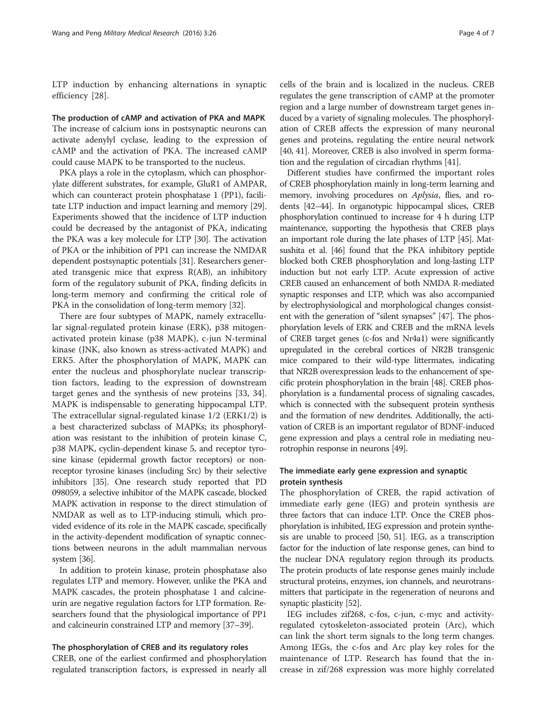LTP induction by enhancing alternations in synaptic efficiency [[28](#page-5-0)].

The production of cAMP and activation of PKA and MAPK The increase of calcium ions in postsynaptic neurons can activate adenylyl cyclase, leading to the expression of cAMP and the activation of PKA. The increased cAMP could cause MAPK to be transported to the nucleus.

PKA plays a role in the cytoplasm, which can phosphorylate different substrates, for example, GluR1 of AMPAR, which can counteract protein phosphatase 1 (PP1), facilitate LTP induction and impact learning and memory [[29](#page-5-0)]. Experiments showed that the incidence of LTP induction could be decreased by the antagonist of PKA, indicating the PKA was a key molecule for LTP [\[30](#page-5-0)]. The activation of PKA or the inhibition of PP1 can increase the NMDAR dependent postsynaptic potentials [[31\]](#page-5-0). Researchers generated transgenic mice that express R(AB), an inhibitory form of the regulatory subunit of PKA, finding deficits in long-term memory and confirming the critical role of PKA in the consolidation of long-term memory [[32](#page-5-0)].

There are four subtypes of MAPK, namely extracellular signal-regulated protein kinase (ERK), p38 mitogenactivated protein kinase (p38 MAPK), c-jun N-terminal kinase (JNK, also known as stress-activated MAPK) and ERK5. After the phosphorylation of MAPK, MAPK can enter the nucleus and phosphorylate nuclear transcription factors, leading to the expression of downstream target genes and the synthesis of new proteins [[33](#page-5-0), [34](#page-5-0)]. MAPK is indispensable to generating hippocampal LTP. The extracellular signal-regulated kinase 1/2 (ERK1/2) is a best characterized subclass of MAPKs; its phosphorylation was resistant to the inhibition of protein kinase C, p38 MAPK, cyclin-dependent kinase 5, and receptor tyrosine kinase (epidermal growth factor receptors) or nonreceptor tyrosine kinases (including Src) by their selective inhibitors [\[35](#page-5-0)]. One research study reported that PD 098059, a selective inhibitor of the MAPK cascade, blocked MAPK activation in response to the direct stimulation of NMDAR as well as to LTP-inducing stimuli, which provided evidence of its role in the MAPK cascade, specifically in the activity-dependent modification of synaptic connections between neurons in the adult mammalian nervous system [\[36\]](#page-5-0).

In addition to protein kinase, protein phosphatase also regulates LTP and memory. However, unlike the PKA and MAPK cascades, the protein phosphatase 1 and calcineurin are negative regulation factors for LTP formation. Researchers found that the physiological importance of PP1 and calcineurin constrained LTP and memory [[37](#page-5-0)–[39\]](#page-5-0).

### The phosphorylation of CREB and its regulatory roles

CREB, one of the earliest confirmed and phosphorylation regulated transcription factors, is expressed in nearly all

cells of the brain and is localized in the nucleus. CREB regulates the gene transcription of cAMP at the promoter region and a large number of downstream target genes induced by a variety of signaling molecules. The phosphorylation of CREB affects the expression of many neuronal genes and proteins, regulating the entire neural network [[40](#page-5-0), [41\]](#page-5-0). Moreover, CREB is also involved in sperm formation and the regulation of circadian rhythms [\[41\]](#page-5-0).

Different studies have confirmed the important roles of CREB phosphorylation mainly in long-term learning and memory, involving procedures on Aplysia, flies, and rodents [[42](#page-5-0)–[44](#page-5-0)]. In organotypic hippocampal slices, CREB phosphorylation continued to increase for 4 h during LTP maintenance, supporting the hypothesis that CREB plays an important role during the late phases of LTP [[45\]](#page-5-0). Matsushita et al. [[46](#page-5-0)] found that the PKA inhibitory peptide blocked both CREB phosphorylation and long-lasting LTP induction but not early LTP. Acute expression of active CREB caused an enhancement of both NMDA R-mediated synaptic responses and LTP, which was also accompanied by electrophysiological and morphological changes consistent with the generation of "silent synapses" [\[47\]](#page-5-0). The phosphorylation levels of ERK and CREB and the mRNA levels of CREB target genes (c-fos and Nr4a1) were significantly upregulated in the cerebral cortices of NR2B transgenic mice compared to their wild-type littermates, indicating that NR2B overexpression leads to the enhancement of specific protein phosphorylation in the brain [[48](#page-5-0)]. CREB phosphorylation is a fundamental process of signaling cascades, which is connected with the subsequent protein synthesis and the formation of new dendrites. Additionally, the activation of CREB is an important regulator of BDNF-induced gene expression and plays a central role in mediating neurotrophin response in neurons [[49\]](#page-5-0).

## The immediate early gene expression and synaptic protein synthesis

The phosphorylation of CREB, the rapid activation of immediate early gene (IEG) and protein synthesis are three factors that can induce LTP. Once the CREB phosphorylation is inhibited, IEG expression and protein synthesis are unable to proceed [[50](#page-5-0), [51](#page-5-0)]. IEG, as a transcription factor for the induction of late response genes, can bind to the nuclear DNA regulatory region through its products. The protein products of late response genes mainly include structural proteins, enzymes, ion channels, and neurotransmitters that participate in the regeneration of neurons and synaptic plasticity [\[52\]](#page-5-0).

IEG includes zif268, c-fos, c-jun, c-myc and activityregulated cytoskeleton-associated protein (Arc), which can link the short term signals to the long term changes. Among IEGs, the c-fos and Arc play key roles for the maintenance of LTP. Research has found that the increase in zif/268 expression was more highly correlated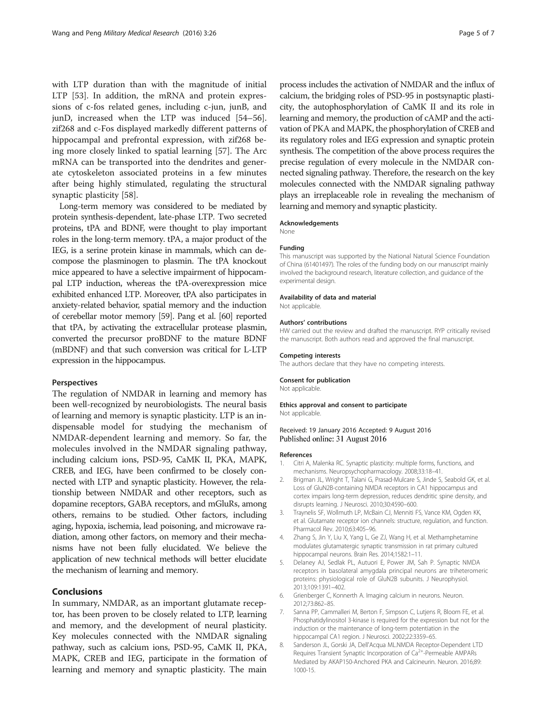<span id="page-4-0"></span>with LTP duration than with the magnitude of initial LTP [\[53](#page-5-0)]. In addition, the mRNA and protein expressions of c-fos related genes, including c-jun, junB, and junD, increased when the LTP was induced [[54](#page-5-0)–[56](#page-5-0)]. zif268 and c-Fos displayed markedly different patterns of hippocampal and prefrontal expression, with zif268 being more closely linked to spatial learning [\[57](#page-5-0)]. The Arc mRNA can be transported into the dendrites and generate cytoskeleton associated proteins in a few minutes after being highly stimulated, regulating the structural synaptic plasticity [\[58](#page-6-0)].

Long-term memory was considered to be mediated by protein synthesis-dependent, late-phase LTP. Two secreted proteins, tPA and BDNF, were thought to play important roles in the long-term memory. tPA, a major product of the IEG, is a serine protein kinase in mammals, which can decompose the plasminogen to plasmin. The tPA knockout mice appeared to have a selective impairment of hippocampal LTP induction, whereas the tPA-overexpression mice exhibited enhanced LTP. Moreover, tPA also participates in anxiety-related behavior, spatial memory and the induction of cerebellar motor memory [\[59\]](#page-6-0). Pang et al. [\[60\]](#page-6-0) reported that tPA, by activating the extracellular protease plasmin, converted the precursor proBDNF to the mature BDNF (mBDNF) and that such conversion was critical for L-LTP expression in the hippocampus.

### Perspectives

The regulation of NMDAR in learning and memory has been well-recognized by neurobiologists. The neural basis of learning and memory is synaptic plasticity. LTP is an indispensable model for studying the mechanism of NMDAR-dependent learning and memory. So far, the molecules involved in the NMDAR signaling pathway, including calcium ions, PSD-95, CaMK II, PKA, MAPK, CREB, and IEG, have been confirmed to be closely connected with LTP and synaptic plasticity. However, the relationship between NMDAR and other receptors, such as dopamine receptors, GABA receptors, and mGluRs, among others, remains to be studied. Other factors, including aging, hypoxia, ischemia, lead poisoning, and microwave radiation, among other factors, on memory and their mechanisms have not been fully elucidated. We believe the application of new technical methods will better elucidate the mechanism of learning and memory.

## Conclusions

In summary, NMDAR, as an important glutamate receptor, has been proven to be closely related to LTP, learning and memory, and the development of neural plasticity. Key molecules connected with the NMDAR signaling pathway, such as calcium ions, PSD-95, CaMK II, PKA, MAPK, CREB and IEG, participate in the formation of learning and memory and synaptic plasticity. The main

process includes the activation of NMDAR and the influx of calcium, the bridging roles of PSD-95 in postsynaptic plasticity, the autophosphorylation of CaMK II and its role in learning and memory, the production of cAMP and the activation of PKA and MAPK, the phosphorylation of CREB and its regulatory roles and IEG expression and synaptic protein synthesis. The competition of the above process requires the precise regulation of every molecule in the NMDAR connected signaling pathway. Therefore, the research on the key molecules connected with the NMDAR signaling pathway plays an irreplaceable role in revealing the mechanism of learning and memory and synaptic plasticity.

#### Acknowledgements

None

#### Funding

This manuscript was supported by the National Natural Science Foundation of China (61401497). The roles of the funding body on our manuscript mainly involved the background research, literature collection, and guidance of the experimental design.

#### Availability of data and material

Not applicable.

#### Authors' contributions

HW carried out the review and drafted the manuscript. RYP critically revised the manuscript. Both authors read and approved the final manuscript.

#### Competing interests

The authors declare that they have no competing interests.

### Consent for publication

Not applicable.

## Ethics approval and consent to participate

Not applicable.

## Received: 19 January 2016 Accepted: 9 August 2016 Published online: 31 August 2016

### References

- 1. Citri A, Malenka RC. Synaptic plasticity: multiple forms, functions, and mechanisms. Neuropsychopharmacology. 2008;33:18–41.
- 2. Brigman JL, Wright T, Talani G, Prasad-Mulcare S, Jinde S, Seabold GK, et al. Loss of GluN2B-containing NMDA receptors in CA1 hippocampus and cortex impairs long-term depression, reduces dendritic spine density, and disrupts learning. J Neurosci. 2010;30:4590–600.
- 3. Traynelis SF, Wollmuth LP, McBain CJ, Menniti FS, Vance KM, Ogden KK, et al. Glutamate receptor ion channels: structure, regulation, and function. Pharmacol Rev. 2010;63:405–96.
- Zhang S, Jin Y, Liu X, Yang L, Ge ZJ, Wang H, et al. Methamphetamine modulates glutamatergic synaptic transmission in rat primary cultured hippocampal neurons. Brain Res. 2014;1582:1–11.
- 5. Delaney AJ, Sedlak PL, Autuori E, Power JM, Sah P. Synaptic NMDA receptors in basolateral amygdala principal neurons are triheteromeric proteins: physiological role of GluN2B subunits. J Neurophysiol. 2013;109:1391–402.
- 6. Grienberger C, Konnerth A. Imaging calcium in neurons. Neuron. 2012;73:862–85.
- 7. Sanna PP, Cammalleri M, Berton F, Simpson C, Lutjens R, Bloom FE, et al. Phosphatidylinositol 3-kinase is required for the expression but not for the induction or the maintenance of long-term potentiation in the hippocampal CA1 region. J Neurosci. 2002;22:3359–65.
- 8. Sanderson JL, Gorski JA, Dell'Acqua ML.NMDA Receptor-Dependent LTD Requires Transient Synaptic Incorporation of Ca<sup>2+</sup>-Permeable AMPARs Mediated by AKAP150-Anchored PKA and Calcineurin. Neuron. 2016;89: 1000-15.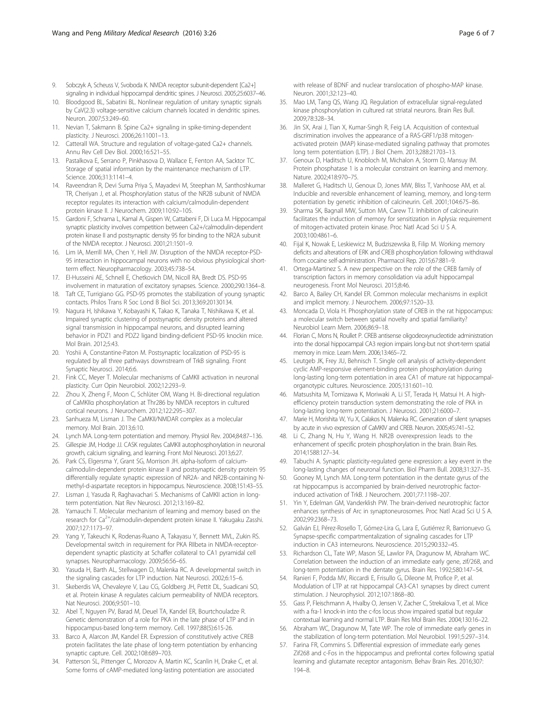- <span id="page-5-0"></span>9. Sobczyk A, Scheuss V, Svoboda K. NMDA receptor subunit-dependent [Ca2+] signaling in individual hippocampal dendritic spines. J Neurosci. 2005;25:6037–46.
- 10. Bloodgood BL, Sabatini BL. Nonlinear regulation of unitary synaptic signals by CaV(2.3) voltage-sensitive calcium channels located in dendritic spines. Neuron. 2007;53:249–60.
- 11. Nevian T, Sakmann B. Spine Ca2+ signaling in spike-timing-dependent plasticity. J Neurosci. 2006;26:11001–13.
- 12. Catterall WA. Structure and regulation of voltage-gated Ca2+ channels. Annu Rev Cell Dev Biol. 2000;16:521–55.
- 13. Pastalkova E, Serrano P, Pinkhasova D, Wallace E, Fenton AA, Sacktor TC. Storage of spatial information by the maintenance mechanism of LTP. Science. 2006;313:1141–4.
- 14. Raveendran R, Devi Suma Priya S, Mayadevi M, Steephan M, Santhoshkumar TR, Cheriyan J, et al. Phosphorylation status of the NR2B subunit of NMDA receptor regulates its interaction with calcium/calmodulin-dependent protein kinase II. J Neurochem. 2009;110:92–105.
- 15. Gardoni F, Schrama L, Kamal A, Gispen W, Cattabeni F, Di Luca M. Hippocampal synaptic plasticity involves competition between Ca2+/calmodulin-dependent protein kinase II and postsynaptic density 95 for binding to the NR2A subunit of the NMDA receptor. J Neurosci. 2001;21:1501–9.
- 16. Lim IA, Merrill MA, Chen Y, Hell JW. Disruption of the NMDA receptor-PSD-95 interaction in hippocampal neurons with no obvious physiological shortterm effect. Neuropharmacology. 2003;45:738–54.
- 17. El-Husseini AE, Schnell E, Chetkovich DM, Nicoll RA, Bredt DS. PSD-95 involvement in maturation of excitatory synapses. Science. 2000;290:1364–8.
- 18. Taft CE, Turrigiano GG. PSD-95 promotes the stabilization of young synaptic contacts. Philos Trans R Soc Lond B Biol Sci. 2013;369:20130134.
- 19. Nagura H, Ishikawa Y, Kobayashi K, Takao K, Tanaka T, Nishikawa K, et al. Impaired synaptic clustering of postsynaptic density proteins and altered signal transmission in hippocampal neurons, and disrupted learning behavior in PDZ1 and PDZ2 ligand binding-deficient PSD-95 knockin mice. Mol Brain. 2012;5:43.
- 20. Yoshii A, Constantine-Paton M. Postsynaptic localization of PSD-95 is regulated by all three pathways downstream of TrkB signaling. Front Synaptic Neurosci. 2014;6:6.
- 21. Fink CC, Meyer T. Molecular mechanisms of CaMKII activation in neuronal plasticity. Curr Opin Neurobiol. 2002;12:293–9.
- 22. Zhou X, Zheng F, Moon C, Schlüter OM, Wang H. Bi-directional regulation of CaMKIIα phosphorylation at Thr286 by NMDA receptors in cultured cortical neurons. J Neurochem. 2012;122:295–307.
- 23. Sanhueza M, Lisman J. The CaMKII/NMDAR complex as a molecular memory. Mol Brain. 2013;6:10.
- 24. Lynch MA. Long-term potentiation and memory. Physiol Rev. 2004;84:87–136.
- 25. Gillespie JM, Hodge JJ. CASK regulates CaMKII autophosphorylation in neuronal growth, calcium signaling, and learning. Front Mol Neurosci. 2013;6:27.
- 26. Park CS, Elgersma Y, Grant SG, Morrison JH. alpha-Isoform of calciumcalmodulin-dependent protein kinase II and postsynaptic density protein 95 differentially regulate synaptic expression of NR2A- and NR2B-containing Nmethyl-d-aspartate receptors in hippocampus. Neuroscience. 2008;151:43–55.
- 27. Lisman J, Yasuda R, Raghavachari S. Mechanisms of CaMKII action in longterm potentiation. Nat Rev Neurosci. 2012;13:169–82.
- 28. Yamauchi T. Molecular mechanism of learning and memory based on the research for Ca<sup>2+</sup>/calmodulin-dependent protein kinase II. Yakugaku Zasshi. 2007;127:1173–97.
- 29. Yang Y, Takeuchi K, Rodenas-Ruano A, Takayasu Y, Bennett MVL, Zukin RS. Developmental switch in requirement for PKA RIIbeta in NMDA-receptordependent synaptic plasticity at Schaffer collateral to CA1 pyramidal cell synapses. Neuropharmacology. 2009;56:56–65.
- 30. Yasuda H, Barth AL, Stellwagen D, Malenka RC. A developmental switch in the signaling cascades for LTP induction. Nat Neurosci. 2002;6:15–6.
- 31. Skeberdis VA, Chevaleyre V, Lau CG, Goldberg JH, Pettit DL, Suadicani SO, et al. Protein kinase A regulates calcium permeability of NMDA receptors. Nat Neurosci. 2006;9:501–10.
- 32. Abel T, Nguyen PV, Barad M, Deuel TA, Kandel ER, Bourtchouladze R. Genetic demonstration of a role for PKA in the late phase of LTP and in hippocampus-based long-term memory. Cell. 1997;88(5):615-26.
- 33. Barco A, Alarcon JM, Kandel ER. Expression of constitutively active CREB protein facilitates the late phase of long-term potentiation by enhancing synaptic capture. Cell. 2002;108:689–703.
- 34. Patterson SL, Pittenger C, Morozov A, Martin KC, Scanlin H, Drake C, et al. Some forms of cAMP-mediated long-lasting potentiation are associated

with release of BDNF and nuclear translocation of phospho-MAP kinase. Neuron. 2001;32:123–40.

- 35. Mao LM, Tang QS, Wang JQ. Regulation of extracellular signal-regulated kinase phosphorylation in cultured rat striatal neurons. Brain Res Bull. 2009;78:328–34.
- 36. Jin SX, Arai J, Tian X, Kumar-Singh R, Feig LA. Acquisition of contextual discrimination involves the appearance of a RAS-GRF1/p38 mitogenactivated protein (MAP) kinase-mediated signaling pathway that promotes long term potentiation (LTP). J Biol Chem. 2013;288:21703–13.
- 37. Genoux D, Haditsch U, Knobloch M, Michalon A, Storm D, Mansuy IM. Protein phosphatase 1 is a molecular constraint on learning and memory. Nature. 2002;418:970–75.
- 38. Malleret G, Haditsch U, Genoux D, Jones MW, Bliss T, Vanhoose AM, et al. Inducible and reversible enhancement of learning, memory, and long-term potentiation by genetic inhibition of calcineurin. Cell. 2001;104:675–86.
- 39. Sharma SK, Bagnall MW, Sutton MA, Carew TJ. Inhibition of calcineurin facilitates the induction of memory for sensitization in Aplysia: requirement of mitogen-activated protein kinase. Proc Natl Acad Sci U S A. 2003;100:4861–6.
- 40. Fijal K, Nowak E, Leskiewicz M, Budziszewska B, Filip M. Working memory deficits and alterations of ERK and CREB phosphorylation following withdrawal from cocaine self-administration. Pharmacol Rep. 2015;67:881–9.
- 41. Ortega-Martinez S. A new perspective on the role of the CREB family of transcription factors in memory consolidation via adult hippocampal neurogenesis. Front Mol Neurosci. 2015;8:46.
- 42. Barco A, Bailey CH, Kandel ER. Common molecular mechanisms in explicit and implicit memory. J Neurochem. 2006;97:1520–33.
- 43. Moncada D, Viola H. Phosphorylation state of CREB in the rat hippocampus: a molecular switch between spatial novelty and spatial familiarity? Neurobiol Learn Mem. 2006;86:9–18.
- 44. Florian C, Mons N, Roullet P. CREB antisense oligodeoxynucleotide administration into the dorsal hippocampal CA3 region impairs long-but not short-term spatial memory in mice. Learn Mem. 2006;13:465–72.
- 45. Leutgeb JK, Frey JU, Behnisch T. Single cell analysis of activity-dependent cyclic AMP-responsive element-binding protein phosphorylation during long-lasting long-term potentiation in area CA1 of mature rat hippocampalorganotypic cultures. Neuroscience. 2005;131:601–10.
- 46. Matsushita M, Tomizawa K, Moriwaki A, Li ST, Terada H, Matsui H. A highefficiency protein transduction system demonstrating the role of PKA in long-lasting long-term potentiation. J Neurosci. 2001;21:6000–7.
- 47. Marie H, Morishita W, Yu X, Calakos N, Malenka RC. Generation of silent synapses by acute in vivo expression of CaMKIV and CREB. Neuron. 2005;45:741–52.
- Li C, Zhang N, Hu Y, Wang H. NR2B overexpression leads to the enhancement of specific protein phosphorylation in the brain. Brain Res. 2014;1588:127–34.
- 49. Tabuchi A. Synaptic plasticity-regulated gene expression: a key event in the long-lasting changes of neuronal function. Biol Pharm Bull. 2008;31:327–35.
- 50. Gooney M, Lynch MA. Long-term potentiation in the dentate gyrus of the rat hippocampus is accompanied by brain-derived neurotrophic factorinduced activation of TrkB. J Neurochem. 2001;77:1198–207.
- 51. Yin Y, Edelman GM, Vanderklish PW. The brain-derived neurotrophic factor enhances synthesis of Arc in synaptoneurosomes. Proc Natl Acad Sci U S A. 2002;99:2368–73.
- 52. Galván EJ, Pérez-Rosello T, Gómez-Lira G, Lara E, Gutiérrez R, Barrionuevo G. Synapse-specific compartmentalization of signaling cascades for LTP induction in CA3 interneurons. Neuroscience. 2015;290:332–45.
- 53. Richardson CL, Tate WP, Mason SE, Lawlor PA, Dragunow M, Abraham WC. Correlation between the induction of an immediate early gene, zif/268, and long-term potentiation in the dentate gyrus. Brain Res. 1992;580:147–54.
- 54. Ranieri F, Podda MV, Riccardi E, Frisullo G, Dileone M, Profice P, et al. Modulation of LTP at rat hippocampal CA3-CA1 synapses by direct current stimulation. J Neurophysiol. 2012;107:1868–80.
- 55. Gass P, Fleischmann A, Hvalby O, Jensen V, Zacher C, Strekalova T, et al. Mice with a fra-1 knock-in into the c-fos locus show impaired spatial but regular contextual learning and normal LTP. Brain Res Mol Brain Res. 2004;130:16–22.
- 56. Abraham WC, Dragunow M, Tate WP. The role of immediate early genes in the stabilization of long-term potentiation. Mol Neurobiol. 1991;5:297–314.
- 57. Farina FR, Commins S. Differential expression of immediate early genes Zif268 and c-Fos in the hippocampus and prefrontal cortex following spatial learning and glutamate receptor antagonism. Behav Brain Res. 2016;307: 194–8.